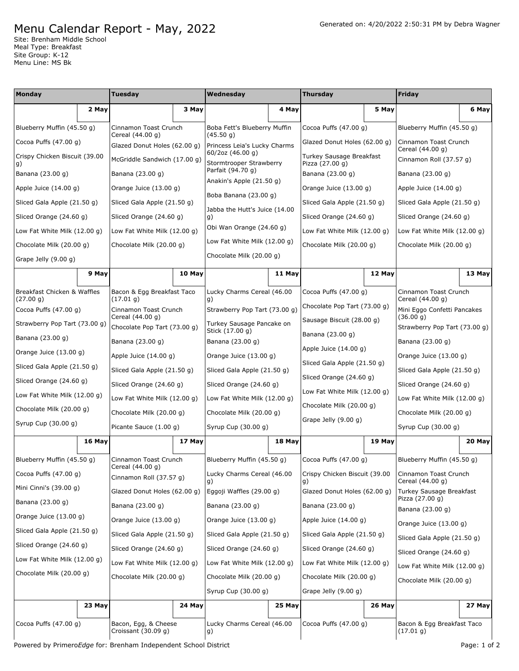## Menu Calendar Report - May, 2022

Site: Brenham Middle School Meal Type: Breakfast Site Group: K-12 Menu Line: MS Bk

| Monday                                   |        | Tuesday                                          |        | Wednesday                                    |        | <b>Thursday</b>                             |        | <b>Friday</b>                              |        |
|------------------------------------------|--------|--------------------------------------------------|--------|----------------------------------------------|--------|---------------------------------------------|--------|--------------------------------------------|--------|
|                                          | 2 May  |                                                  | 3 May  |                                              | 4 May  |                                             | 5 May  |                                            | 6 May  |
| Blueberry Muffin (45.50 g)               |        | Cinnamon Toast Crunch                            |        | Boba Fett's Blueberry Muffin<br>(45.50 g)    |        | Cocoa Puffs $(47.00 g)$                     |        | Blueberry Muffin (45.50 g)                 |        |
| Cocoa Puffs $(47.00 g)$                  |        | Cereal (44.00 g)<br>Glazed Donut Holes (62.00 g) |        | Princess Leia's Lucky Charms                 |        | Glazed Donut Holes (62.00 g)                |        | Cinnamon Toast Crunch<br>Cereal (44.00 g)  |        |
| Crispy Chicken Biscuit (39.00            |        | McGriddle Sandwich (17.00 g)                     |        | 60/2oz (46.00 g)<br>Stormtrooper Strawberry  |        | Turkey Sausage Breakfast<br>Pizza (27.00 g) |        | Cinnamon Roll (37.57 g)                    |        |
| g)<br>Banana (23.00 g)                   |        | Banana (23.00 g)                                 |        | Parfait (94.70 g)                            |        | Banana (23.00 g)                            |        | Banana (23.00 g)                           |        |
| Apple Juice $(14.00 g)$                  |        | Orange Juice (13.00 g)                           |        | Anakin's Apple (21.50 g)                     |        | Orange Juice (13.00 g)                      |        | Apple Juice (14.00 g)                      |        |
| Sliced Gala Apple (21.50 g)              |        | Sliced Gala Apple (21.50 g)                      |        | Boba Banana (23.00 g)                        |        | Sliced Gala Apple (21.50 g)                 |        | Sliced Gala Apple (21.50 g)                |        |
| Sliced Orange (24.60 g)                  |        | Sliced Orange (24.60 g)                          |        | Jabba the Hutt's Juice (14.00<br>g)          |        | Sliced Orange (24.60 g)                     |        | Sliced Orange (24.60 g)                    |        |
| Low Fat White Milk (12.00 g)             |        | Low Fat White Milk (12.00 g)                     |        | Obi Wan Orange (24.60 g)                     |        | Low Fat White Milk (12.00 g)                |        | Low Fat White Milk (12.00 g)               |        |
| Chocolate Milk (20.00 g)                 |        | Chocolate Milk (20.00 g)                         |        | Low Fat White Milk (12.00 g)                 |        | Chocolate Milk (20.00 g)                    |        | Chocolate Milk (20.00 g)                   |        |
| Grape Jelly (9.00 g)                     |        |                                                  |        | Chocolate Milk (20.00 g)                     |        |                                             |        |                                            |        |
|                                          | 9 May  |                                                  | 10 May |                                              | 11 May |                                             | 12 May |                                            | 13 May |
| Breakfast Chicken & Waffles<br>(27.00 g) |        | Bacon & Egg Breakfast Taco<br>(17.01 g)          |        | Lucky Charms Cereal (46.00<br>g)             |        | Cocoa Puffs $(47.00 g)$                     |        | Cinnamon Toast Crunch<br>Cereal (44.00 g)  |        |
| Cocoa Puffs $(47.00 g)$                  |        | Cinnamon Toast Crunch                            |        | Strawberry Pop Tart (73.00 g)                |        | Chocolate Pop Tart (73.00 g)                |        | Mini Eggo Confetti Pancakes                |        |
| Strawberry Pop Tart (73.00 g)            |        | Cereal (44.00 g)<br>Chocolate Pop Tart (73.00 g) |        | Turkey Sausage Pancake on<br>Stick (17.00 g) |        | Sausage Biscuit (28.00 g)                   |        | (36.00 g)<br>Strawberry Pop Tart (73.00 g) |        |
| Banana (23.00 g)                         |        | Banana (23.00 g)                                 |        | Banana (23.00 g)                             |        | Banana (23.00 g)                            |        | Banana (23.00 g)                           |        |
| Orange Juice (13.00 g)                   |        | Apple Juice $(14.00 g)$                          |        | Orange Juice (13.00 g)                       |        | Apple Juice $(14.00 g)$                     |        | Orange Juice $(13.00 g)$                   |        |
| Sliced Gala Apple (21.50 g)              |        | Sliced Gala Apple (21.50 g)                      |        | Sliced Gala Apple (21.50 g)                  |        | Sliced Gala Apple (21.50 g)                 |        | Sliced Gala Apple (21.50 g)                |        |
| Sliced Orange (24.60 g)                  |        | Sliced Orange (24.60 g)                          |        | Sliced Orange (24.60 g)                      |        | Sliced Orange (24.60 g)                     |        | Sliced Orange (24.60 g)                    |        |
| Low Fat White Milk (12.00 g)             |        | Low Fat White Milk (12.00 g)                     |        | Low Fat White Milk (12.00 g)                 |        | Low Fat White Milk (12.00 g)                |        | Low Fat White Milk (12.00 g)               |        |
| Chocolate Milk (20.00 g)                 |        | Chocolate Milk (20.00 g)                         |        | Chocolate Milk (20.00 g)                     |        | Chocolate Milk (20.00 g)                    |        | Chocolate Milk (20.00 g)                   |        |
| Syrup Cup (30.00 g)                      |        | Picante Sauce (1.00 g)                           |        | Syrup Cup (30.00 g)                          |        | Grape Jelly $(9.00 g)$                      |        | Syrup Cup (30.00 g)                        |        |
|                                          | 16 May |                                                  | 17 May |                                              | 18 May |                                             | 19 May |                                            | 20 May |
| Blueberry Muffin (45.50 g)               |        | Cinnamon Toast Crunch                            |        | Blueberry Muffin (45.50 g)                   |        | Cocoa Puffs (47.00 g)                       |        | Blueberry Muffin (45.50 g)                 |        |
| Cocoa Puffs (47.00 g)                    |        | Cereal (44.00 g)<br>Cinnamon Roll (37.57 g)      |        | Lucky Charms Cereal (46.00<br>g)             |        | Crispy Chicken Biscuit (39.00<br>g)         |        | Cinnamon Toast Crunch<br>Cereal (44.00 g)  |        |
| Mini Cinni's (39.00 g)                   |        | Glazed Donut Holes (62.00 g)                     |        | Eggoji Waffles (29.00 g)                     |        | Glazed Donut Holes (62.00 q)                |        | Turkey Sausage Breakfast                   |        |
| Banana (23.00 g)                         |        | Banana (23.00 g)                                 |        | Banana (23.00 g)                             |        | Banana (23.00 g)                            |        | Pizza (27.00 g)<br>Banana (23.00 g)        |        |
| Orange Juice (13.00 g)                   |        | Orange Juice (13.00 g)                           |        | Orange Juice (13.00 g)                       |        | Apple Juice (14.00 g)                       |        | Orange Juice (13.00 g)                     |        |
| Sliced Gala Apple (21.50 g)              |        | Sliced Gala Apple (21.50 g)                      |        | Sliced Gala Apple (21.50 g)                  |        | Sliced Gala Apple (21.50 g)                 |        | Sliced Gala Apple (21.50 g)                |        |
| Sliced Orange (24.60 g)                  |        | Sliced Orange (24.60 g)                          |        | Sliced Orange (24.60 g)                      |        | Sliced Orange (24.60 g)                     |        | Sliced Orange (24.60 g)                    |        |
| Low Fat White Milk (12.00 g)             |        | Low Fat White Milk (12.00 g)                     |        | Low Fat White Milk (12.00 g)                 |        | Low Fat White Milk (12.00 g)                |        | Low Fat White Milk (12.00 g)               |        |
| Chocolate Milk (20.00 g)                 |        | Chocolate Milk (20.00 g)                         |        | Chocolate Milk (20.00 g)                     |        | Chocolate Milk (20.00 g)                    |        | Chocolate Milk (20.00 g)                   |        |
|                                          |        |                                                  |        | Syrup Cup (30.00 g)                          |        | Grape Jelly (9.00 g)                        |        |                                            |        |
|                                          | 23 May |                                                  | 24 May |                                              | 25 May |                                             | 26 May |                                            | 27 May |
| Cocoa Puffs $(47.00 g)$                  |        | Bacon, Egg, & Cheese<br>Croissant (30.09 g)      |        | Lucky Charms Cereal (46.00<br>g)             |        | Cocoa Puffs $(47.00 g)$                     |        | Bacon & Egg Breakfast Taco<br>(17.01 g)    |        |

Powered by PrimeroEdge for: Brenham Independent School District **Page: 1 of 2** Page: 1 of 2